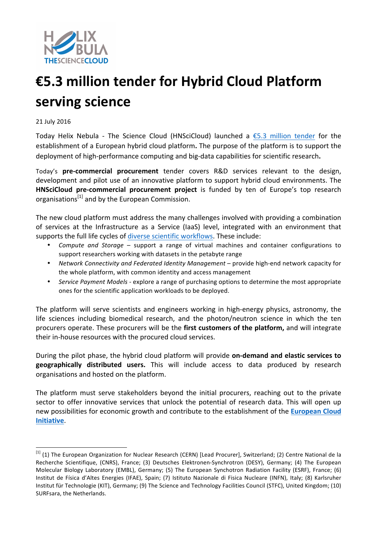

## **€5.3 million tender for Hybrid Cloud Platform serving science**

## 21 July 2016

Today Helix Nebula - The Science Cloud (HNSciCloud) launched a  $\epsilon$ 5.3 million tender for the establishment of a European hybrid cloud platform. The purpose of the platform is to support the deployment of high-performance computing and big-data capabilities for scientific research.

Today's pre-commercial procurement tender covers R&D services relevant to the design, development and pilot use of an innovative platform to support hybrid cloud environments. The **HNSciCloud pre-commercial procurement project** is funded by ten of Europe's top research organisations<sup>[1]</sup> and by the European Commission.

The new cloud platform must address the many challenges involved with providing a combination of services at the Infrastructure as a Service (IaaS) level, integrated with an environment that supports the full life cycles of diverse scientific workflows. These include:

- *Compute and Storage* support a range of virtual machines and container configurations to support researchers working with datasets in the petabyte range
- Network Connectivity and Federated Identity Management provide high-end network capacity for the whole platform, with common identity and access management
- *Service Payment Models* explore a range of purchasing options to determine the most appropriate ones for the scientific application workloads to be deployed.

The platform will serve scientists and engineers working in high-energy physics, astronomy, the life sciences including biomedical research, and the photon/neutron science in which the ten procurers operate. These procurers will be the **first customers of the platform,** and will integrate their in-house resources with the procured cloud services.

During the pilot phase, the hybrid cloud platform will provide on-demand and elastic services to geographically distributed users. This will include access to data produced by research organisations and hosted on the platform.

The platform must serve stakeholders beyond the initial procurers, reaching out to the private sector to offer innovative services that unlock the potential of research data. This will open up new possibilities for economic growth and contribute to the establishment of the **European Cloud Initiative**. 

 $^{[1]}$  (1) The European Organization for Nuclear Research (CERN) [Lead Procurer], Switzerland; (2) Centre National de la Recherche Scientifique, (CNRS), France; (3) Deutsches Elektronen-Synchrotron (DESY), Germany; (4) The European Molecular Biology Laboratory (EMBL), Germany; (5) The European Synchotron Radiation Facility (ESRF), France; (6) Institut de Física d'Altes Energies (IFAE), Spain; (7) Istituto Nazionale di Fisica Nucleare (INFN), Italy; (8) Karlsruher Institut für Technologie (KIT), Germany; (9) The Science and Technology Facilities Council (STFC), United Kingdom; (10) SURFsara, the Netherlands.